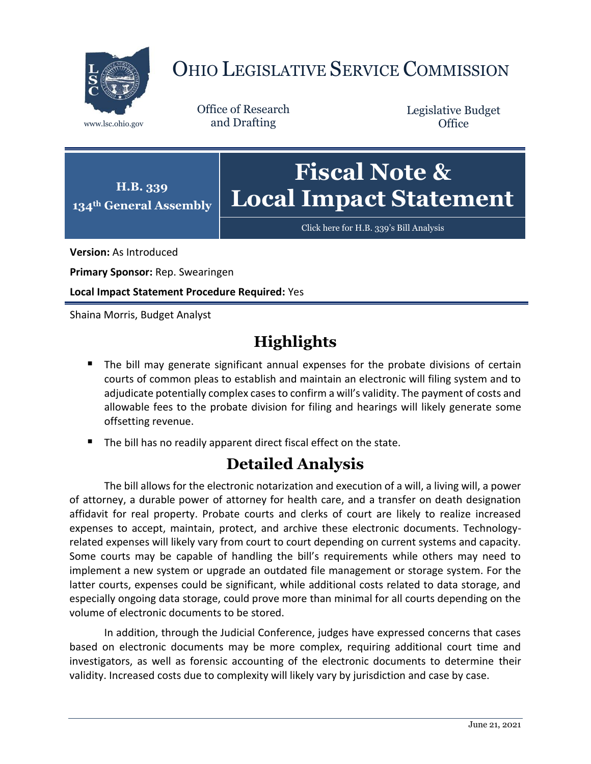

## OHIO LEGISLATIVE SERVICE COMMISSION

Office of Research www.lsc.ohio.gov and Drafting

Legislative Budget **Office** 



Click here for [H.B. 339's Bill Analysis](https://www.legislature.ohio.gov/legislation/legislation-documents?id=GA134-HB-339)

**Version:** As Introduced

**Primary Sponsor:** Rep. Swearingen

**Local Impact Statement Procedure Required:** Yes

Shaina Morris, Budget Analyst

## **Highlights**

- **The bill may generate significant annual expenses for the probate divisions of certain** courts of common pleas to establish and maintain an electronic will filing system and to adjudicate potentially complex cases to confirm a will's validity. The payment of costs and allowable fees to the probate division for filing and hearings will likely generate some offsetting revenue.
- The bill has no readily apparent direct fiscal effect on the state.

## **Detailed Analysis**

The bill allows for the electronic notarization and execution of a will, a living will, a power of attorney, a durable power of attorney for health care, and a transfer on death designation affidavit for real property. Probate courts and clerks of court are likely to realize increased expenses to accept, maintain, protect, and archive these electronic documents. Technologyrelated expenses will likely vary from court to court depending on current systems and capacity. Some courts may be capable of handling the bill's requirements while others may need to implement a new system or upgrade an outdated file management or storage system. For the latter courts, expenses could be significant, while additional costs related to data storage, and especially ongoing data storage, could prove more than minimal for all courts depending on the volume of electronic documents to be stored.

In addition, through the Judicial Conference, judges have expressed concerns that cases based on electronic documents may be more complex, requiring additional court time and investigators, as well as forensic accounting of the electronic documents to determine their validity. Increased costs due to complexity will likely vary by jurisdiction and case by case.